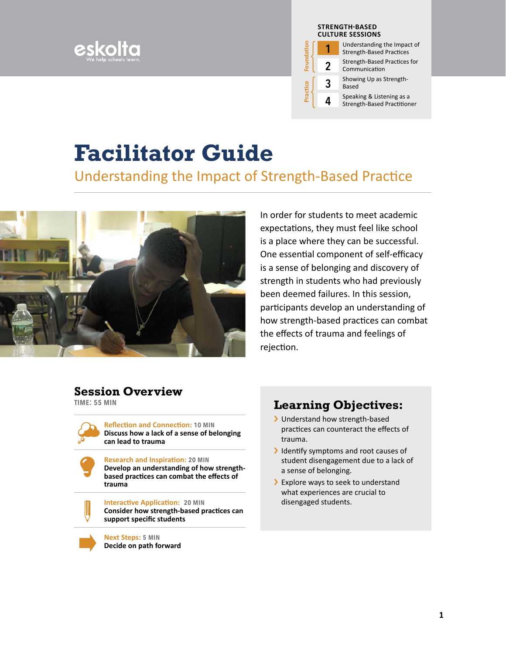



**1** Understanding the Impact of Strength-Based Practices

**2** Strength-Based Practices for Communication

**3** Showing Up as Strength-Based

**4** Speaking & Listening as a Strength-Based Practitioner

# **Facilitator Guide**

Understanding the Impact of Strength-Based Practice



In order for students to meet academic expectations, they must feel like school is a place where they can be successful. One essential component of self-efficacy is a sense of belonging and discovery of strength in students who had previously been deemed failures. In this session, participants develop an understanding of how strength-based practices can combat the effects of trauma and feelings of rejection.

### **Session Overview**

**time: 55 min**

**Reflection and Connection: 10 min Discuss how a lack of a sense of belonging can lead to trauma**



**Interactive Application: 20 min Consider how strength-based practices can support specific students**

**Next Steps: 5 min Decide on path forward**

### **Learning Objectives:**

- > Understand how strength-based practices can counteract the effects of trauma.
- › Identify symptoms and root causes of student disengagement due to a lack of a sense of belonging.
- > Explore ways to seek to understand what experiences are crucial to disengaged students.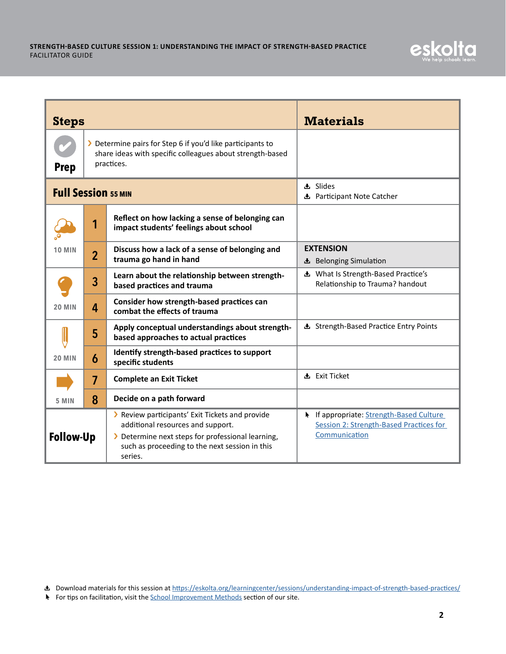

| <b>Steps</b>               |                                                                                                                                     |                                                                                                                                                                                                        | <b>Materials</b>                                                                                   |
|----------------------------|-------------------------------------------------------------------------------------------------------------------------------------|--------------------------------------------------------------------------------------------------------------------------------------------------------------------------------------------------------|----------------------------------------------------------------------------------------------------|
| <b>Prep</b>                | Determine pairs for Step 6 if you'd like participants to<br>share ideas with specific colleagues about strength-based<br>practices. |                                                                                                                                                                                                        |                                                                                                    |
| <b>Full Session 55 MIN</b> |                                                                                                                                     |                                                                                                                                                                                                        | 出 Slides<br>L Participant Note Catcher                                                             |
|                            | 1                                                                                                                                   | Reflect on how lacking a sense of belonging can<br>impact students' feelings about school                                                                                                              |                                                                                                    |
| 10 MIN                     | $\overline{2}$                                                                                                                      | Discuss how a lack of a sense of belonging and<br>trauma go hand in hand                                                                                                                               | <b>EXTENSION</b><br>上 Belonging Simulation                                                         |
|                            | 3                                                                                                                                   | Learn about the relationship between strength-<br>based practices and trauma                                                                                                                           | L What Is Strength-Based Practice's<br>Relationship to Trauma? handout                             |
| <b>20 MIN</b>              | 4                                                                                                                                   | Consider how strength-based practices can<br>combat the effects of trauma                                                                                                                              |                                                                                                    |
|                            | 5                                                                                                                                   | Apply conceptual understandings about strength-<br>based approaches to actual practices                                                                                                                | <b>E</b> Strength-Based Practice Entry Points                                                      |
| <b>20 MIN</b>              | 6                                                                                                                                   | Identify strength-based practices to support<br>specific students                                                                                                                                      |                                                                                                    |
|                            | 7                                                                                                                                   | <b>Complete an Exit Ticket</b>                                                                                                                                                                         | 上 Exit Ticket                                                                                      |
| 5 MIN                      | 8                                                                                                                                   | Decide on a path forward                                                                                                                                                                               |                                                                                                    |
| <b>Follow-Up</b>           |                                                                                                                                     | > Review participants' Exit Tickets and provide<br>additional resources and support.<br>> Determine next steps for professional learning,<br>such as proceeding to the next session in this<br>series. | If appropriate: Strength-Based Culture<br>Session 2: Strength-Based Practices for<br>Communication |

**L** Download materials for this session at [https://eskolta.org/learningcenter/sessions/understanding-impact-of-strength-based-practices/](https://eskolta.org/learningcenter/sessions/understanding-impact-of-strength-based-practices/ )

**A** For tips on facilitation, visit the **School Improvement Methods** section of our site.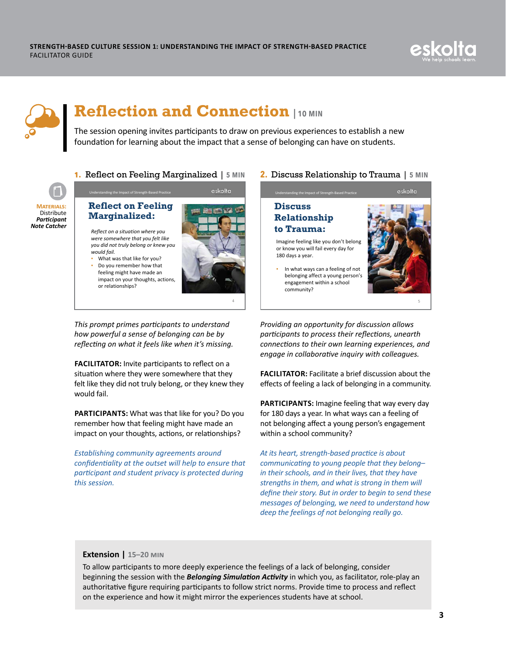



## **Reflection and Connection | 10 min**

The session opening invites participants to draw on previous experiences to establish a new foundation for learning about the impact that a sense of belonging can have on students.



#### **1.** Reflect on Feeling Marginalized | 5 MIN eskolta Understanding the Impact of Strength-Based Practice

*Reflect on a situation where you were somewhere that you felt like you did not truly belong or knew you would fail.* 

**Reflect on Feeling Marginalized:**

- What was that like for you?
- Do you remember how that feeling might have made an
- impact on your thoughts, actions, or relationships?



*This prompt primes participants to understand how powerful a sense of belonging can be by reflecting on what it feels like when it's missing.* 

**FACILITATOR:** Invite participants to reflect on a situation where they were somewhere that they felt like they did not truly belong, or they knew they would fail.

**PARTICIPANTS:** What was that like for you? Do you remember how that feeling might have made an impact on your thoughts, actions, or relationships?

*Establishing community agreements around confidentiality at the outset will help to ensure that participant and student privacy is protected during this session.*

**2.** Discuss Relationship to Trauma | 5 MIN



*Providing an opportunity for discussion allows participants to process their reflections, unearth connections to their own learning experiences, and engage in collaborative inquiry with colleagues.*

**FACILITATOR:** Facilitate a brief discussion about the effects of feeling a lack of belonging in a community.

**PARTICIPANTS:** Imagine feeling that way every day for 180 days a year. In what ways can a feeling of not belonging affect a young person's engagement within a school community?

*At its heart, strength-based practice is about communicating to young people that they belong– in their schools, and in their lives, that they have strengths in them, and what is strong in them will define their story. But in order to begin to send these messages of belonging, we need to understand how deep the feelings of not belonging really go.*

#### **Extension | 15–20 min**

To allow participants to more deeply experience the feelings of a lack of belonging, consider beginning the session with the *Belonging Simulation Activity* in which you, as facilitator, role-play an authoritative figure requiring participants to follow strict norms. Provide time to process and reflect on the experience and how it might mirror the experiences students have at school.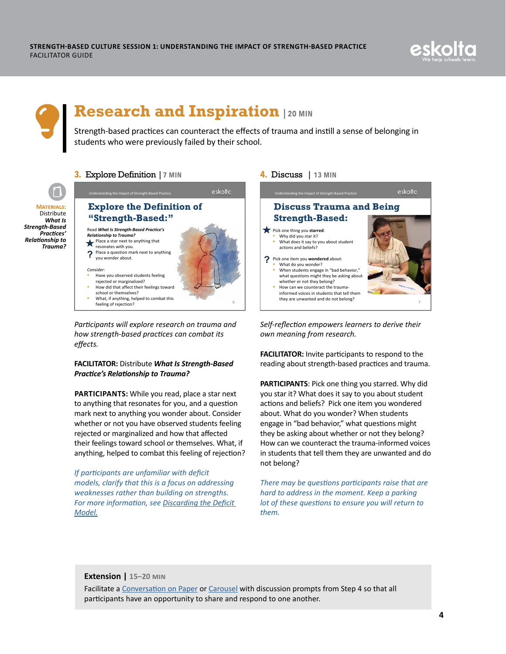



# **Research and Inspiration | 20 min**

Strength-based practices can counteract the effects of trauma and instill a sense of belonging in students who were previously failed by their school.



**Materials:** Distribute *What Is Strength-Based Practices' Relationship to Trauma?* 

#### **3.** Explore Definition | 7 MIN



*Participants will explore research on trauma and how strength-based practices can combat its effects.*

#### **FACILITATOR:** Distribute *What Is Strength-Based Practice's Relationship to Trauma?*

**PARTICIPANTS:** While you read, place a star next to anything that resonates for you, and a question mark next to anything you wonder about. Consider whether or not you have observed students feeling rejected or marginalized and how that affected their feelings toward school or themselves. What, if anything, helped to combat this feeling of rejection?

*If participants are unfamiliar with deficit models, clarify that this is a focus on addressing weaknesses rather than building on strengths. For more information, see [Discarding the Deficit](http://www.ascd.org/publications/educational-leadership/feb07/vol64/num05/Discarding-the-Deficit-Model.aspx)  [Model.](http://www.ascd.org/publications/educational-leadership/feb07/vol64/num05/Discarding-the-Deficit-Model.aspx)*

**4.** Discuss | 13 MIN



*Self-reflection empowers learners to derive their own meaning from research.* 

**FACILITATOR:** Invite participants to respond to the reading about strength-based practices and trauma.

**PARTICIPANTS**: Pick one thing you starred. Why did you star it? What does it say to you about student actions and beliefs? Pick one item you wondered about. What do you wonder? When students engage in "bad behavior," what questions might they be asking about whether or not they belong? How can we counteract the trauma-informed voices in students that tell them they are unwanted and do not belong?

*There may be questions participants raise that are hard to address in the moment. Keep a parking lot of these questions to ensure you will return to them.* 

#### **Extension | 15–20 min**

Facilitate a [Conversation on Paper](https://www.facinghistory.org/resource-library/teaching-strategies/big-paper-silent-conversation) or [Carousel](http://www.readwritethink.org/professional-development/strategy-guides/brainstorming-reviewing-using-carousel-30630.html) with discussion prompts from Step 4 so that all participants have an opportunity to share and respond to one another.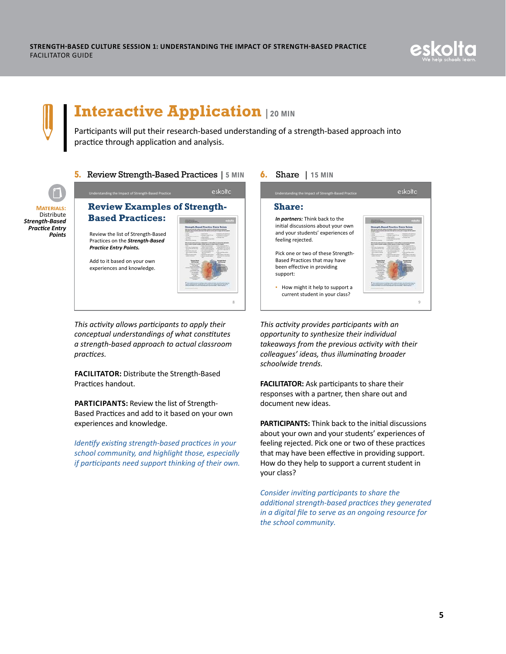



### **Interactive Application | 20 min**

Participants will put their research-based understanding of a strength-based approach into practice through application and analysis.



**Materials:** Distribute *Strength-Based Practice Entry Points*



*This activity allows participants to apply their conceptual understandings of what constitutes a strength-based approach to actual classroom practices.*

**FACILITATOR:** Distribute the Strength-Based Practices handout.

**PARTICIPANTS:** Review the list of Strength-Based Practices and add to it based on your own experiences and knowledge.

*Identify existing strength-based practices in your school community, and highlight those, especially if participants need support thinking of their own.* 



*This activity provides participants with an opportunity to synthesize their individual takeaways from the previous activity with their colleagues' ideas, thus illuminating broader schoolwide trends.*

**FACILITATOR:** Ask participants to share their responses with a partner, then share out and document new ideas.

**PARTICIPANTS:** Think back to the initial discussions about your own and your students' experiences of feeling rejected. Pick one or two of these practices that may have been effective in providing support. How do they help to support a current student in your class?

*Consider inviting participants to share the additional strength-based practices they generated in a digital file to serve as an ongoing resource for the school community.*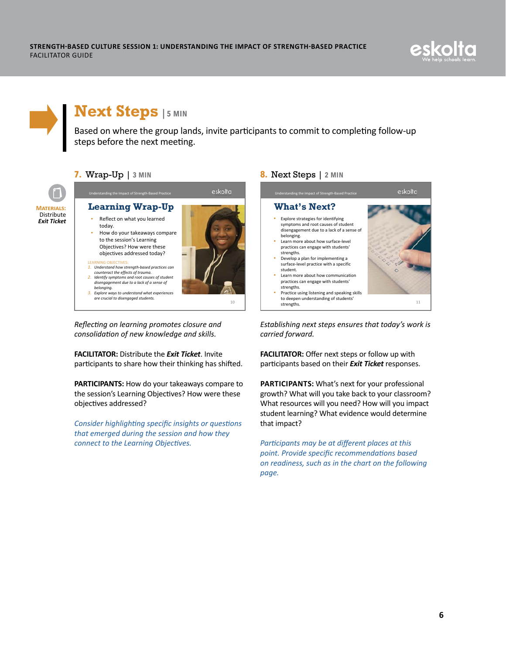



### **Next Steps | 5 min**

Based on where the group lands, invite participants to commit to completing follow-up steps before the next meeting.



#### **7.**  Wrap-Up | **3 min**



*Reflecting on learning promotes closure and consolidation of new knowledge and skills.*

**FACILITATOR:** Distribute the *Exit Ticket*. Invite participants to share how their thinking has shifted.

**PARTICIPANTS:** How do your takeaways compare to the session's Learning Objectives? How were these objectives addressed?

*Consider highlighting specific insights or questions that emerged during the session and how they connect to the Learning Objectives.*

#### **8.**  Next Steps | **2 min**



*Establishing next steps ensures that today's work is carried forward.*

**FACILITATOR:** Offer next steps or follow up with participants based on their *Exit Ticket* responses.

**PARTICIPANTS:** What's next for your professional growth? What will you take back to your classroom? What resources will you need? How will you impact student learning? What evidence would determine that impact?

*Participants may be at different places at this point. Provide specific recommendations based on readiness, such as in the chart on the following page.*